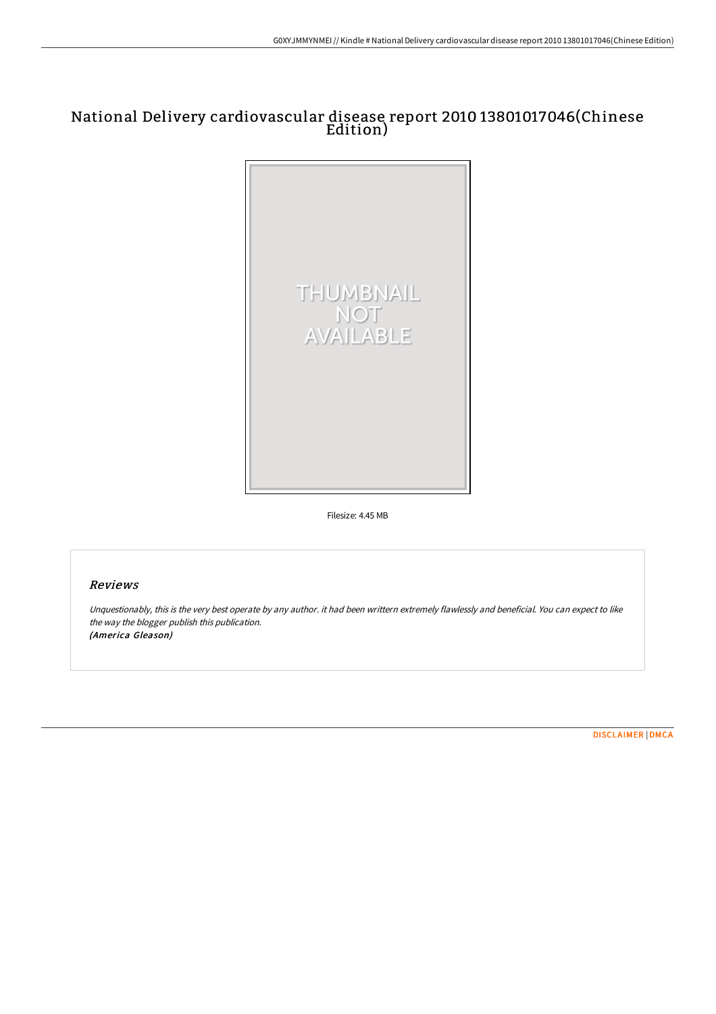# National Delivery cardiovascular disease report 2010 13801017046(Chinese Edition)



Filesize: 4.45 MB

## Reviews

Unquestionably, this is the very best operate by any author. it had been writtern extremely flawlessly and beneficial. You can expect to like the way the blogger publish this publication. (America Gleason)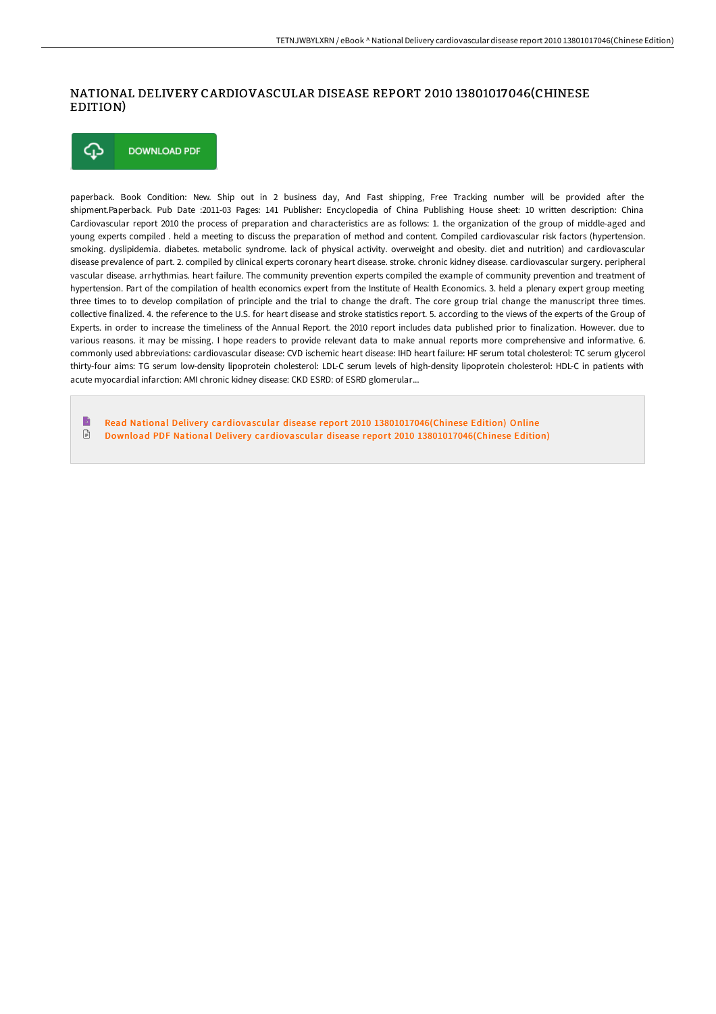#### NATIONAL DELIVERY CARDIOVASCULAR DISEASE REPORT 2010 13801017046(CHINESE EDITION)



paperback. Book Condition: New. Ship out in 2 business day, And Fast shipping, Free Tracking number will be provided after the shipment.Paperback. Pub Date :2011-03 Pages: 141 Publisher: Encyclopedia of China Publishing House sheet: 10 written description: China Cardiovascular report 2010 the process of preparation and characteristics are as follows: 1. the organization of the group of middle-aged and young experts compiled . held a meeting to discuss the preparation of method and content. Compiled cardiovascular risk factors (hypertension. smoking. dyslipidemia. diabetes. metabolic syndrome. lack of physical activity. overweight and obesity. diet and nutrition) and cardiovascular disease prevalence of part. 2. compiled by clinical experts coronary heart disease. stroke. chronic kidney disease. cardiovascular surgery. peripheral vascular disease. arrhythmias. heart failure. The community prevention experts compiled the example of community prevention and treatment of hypertension. Part of the compilation of health economics expert from the Institute of Health Economics. 3. held a plenary expert group meeting three times to to develop compilation of principle and the trial to change the draft. The core group trial change the manuscript three times. collective finalized. 4. the reference to the U.S. for heart disease and stroke statistics report. 5. according to the views of the experts of the Group of Experts. in order to increase the timeliness of the Annual Report. the 2010 report includes data published prior to finalization. However. due to various reasons. it may be missing. I hope readers to provide relevant data to make annual reports more comprehensive and informative. 6. commonly used abbreviations: cardiovascular disease: CVD ischemic heart disease: IHD heart failure: HF serum total cholesterol: TC serum glycerol thirty-four aims: TG serum low-density lipoprotein cholesterol: LDL-C serum levels of high-density lipoprotein cholesterol: HDL-C in patients with acute myocardial infarction: AMI chronic kidney disease: CKD ESRD: of ESRD glomerular...

 $\rightarrow$ Read National Delivery cardiovascular disease report 2010 [13801017046\(Chinese](http://www.bookdirs.com/national-delivery-cardiovascular-disease-report-.html) Edition) Online  $\ensuremath{\boxdot}$ Download PDF National Delivery cardiovascular disease report 2010 [13801017046\(Chinese](http://www.bookdirs.com/national-delivery-cardiovascular-disease-report-.html) Edition)